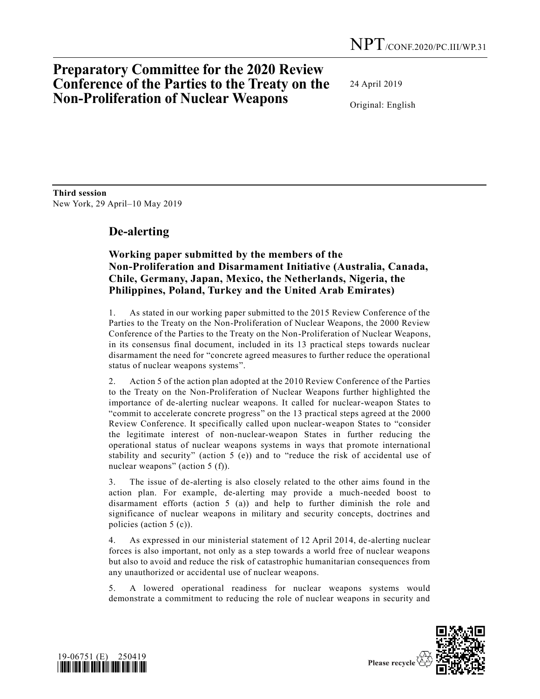## **Preparatory Committee for the 2020 Review Conference of the Parties to the Treaty on the Non-Proliferation of Nuclear Weapons**

24 April 2019

Original: English

**Third session**  New York, 29 April–10 May 2019

## **De-alerting**

## **Working paper submitted by the members of the Non-Proliferation and Disarmament Initiative (Australia, Canada, Chile, Germany, Japan, Mexico, the Netherlands, Nigeria, the Philippines, Poland, Turkey and the United Arab Emirates)**

1. As stated in our working paper submitted to the 2015 Review Conference of the Parties to the Treaty on the Non-Proliferation of Nuclear Weapons, the 2000 Review Conference of the Parties to the Treaty on the Non-Proliferation of Nuclear Weapons, in its consensus final document, included in its 13 practical steps towards nuclear disarmament the need for "concrete agreed measures to further reduce the operational status of nuclear weapons systems".

2. Action 5 of the action plan adopted at the 2010 Review Conference of the Parties to the Treaty on the Non-Proliferation of Nuclear Weapons further highlighted the importance of de-alerting nuclear weapons. It called for nuclear-weapon States to "commit to accelerate concrete progress" on the 13 practical steps agreed at the 2000 Review Conference. It specifically called upon nuclear-weapon States to "consider the legitimate interest of non-nuclear-weapon States in further reducing the operational status of nuclear weapons systems in ways that promote international stability and security" (action 5 (e)) and to "reduce the risk of accidental use of nuclear weapons" (action 5 (f)).

3. The issue of de-alerting is also closely related to the other aims found in the action plan. For example, de-alerting may provide a much-needed boost to disarmament efforts (action 5 (a)) and help to further diminish the role and significance of nuclear weapons in military and security concepts, doctrines and policies (action 5 (c)).

4. As expressed in our ministerial statement of 12 April 2014, de-alerting nuclear forces is also important, not only as a step towards a world free of nuclear weapons but also to avoid and reduce the risk of catastrophic humanitarian consequences from any unauthorized or accidental use of nuclear weapons.

5. A lowered operational readiness for nuclear weapons systems would demonstrate a commitment to reducing the role of nuclear weapons in security and